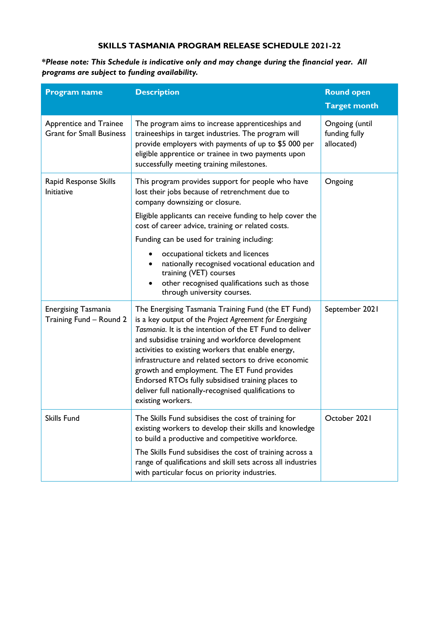## **SKILLS TASMANIA PROGRAM RELEASE SCHEDULE 2021-22**

**\****Please note: This Schedule is indicative only and may change during the financial year. All programs are subject to funding availability.*

| <b>Program name</b>                                              | <b>Description</b>                                                                                                                                                                                                                                                                                                                                                                                                                                                                                                           | <b>Round open</b><br><b>Target month</b>      |
|------------------------------------------------------------------|------------------------------------------------------------------------------------------------------------------------------------------------------------------------------------------------------------------------------------------------------------------------------------------------------------------------------------------------------------------------------------------------------------------------------------------------------------------------------------------------------------------------------|-----------------------------------------------|
| <b>Apprentice and Trainee</b><br><b>Grant for Small Business</b> | The program aims to increase apprenticeships and<br>traineeships in target industries. The program will<br>provide employers with payments of up to \$5 000 per<br>eligible apprentice or trainee in two payments upon<br>successfully meeting training milestones.                                                                                                                                                                                                                                                          | Ongoing (until<br>funding fully<br>allocated) |
| Rapid Response Skills<br><b>Initiative</b>                       | This program provides support for people who have<br>lost their jobs because of retrenchment due to<br>company downsizing or closure.<br>Eligible applicants can receive funding to help cover the<br>cost of career advice, training or related costs.<br>Funding can be used for training including:<br>occupational tickets and licences<br>nationally recognised vocational education and<br>training (VET) courses                                                                                                      | Ongoing                                       |
|                                                                  | other recognised qualifications such as those<br>through university courses.                                                                                                                                                                                                                                                                                                                                                                                                                                                 |                                               |
| <b>Energising Tasmania</b><br>Training Fund - Round 2            | The Energising Tasmania Training Fund (the ET Fund)<br>is a key output of the Project Agreement for Energising<br>Tasmania. It is the intention of the ET Fund to deliver<br>and subsidise training and workforce development<br>activities to existing workers that enable energy,<br>infrastructure and related sectors to drive economic<br>growth and employment. The ET Fund provides<br>Endorsed RTOs fully subsidised training places to<br>deliver full nationally-recognised qualifications to<br>existing workers. | September 2021                                |
| Skills Fund                                                      | The Skills Fund subsidises the cost of training for<br>existing workers to develop their skills and knowledge<br>to build a productive and competitive workforce.                                                                                                                                                                                                                                                                                                                                                            | October 2021                                  |
|                                                                  | The Skills Fund subsidises the cost of training across a<br>range of qualifications and skill sets across all industries<br>with particular focus on priority industries.                                                                                                                                                                                                                                                                                                                                                    |                                               |